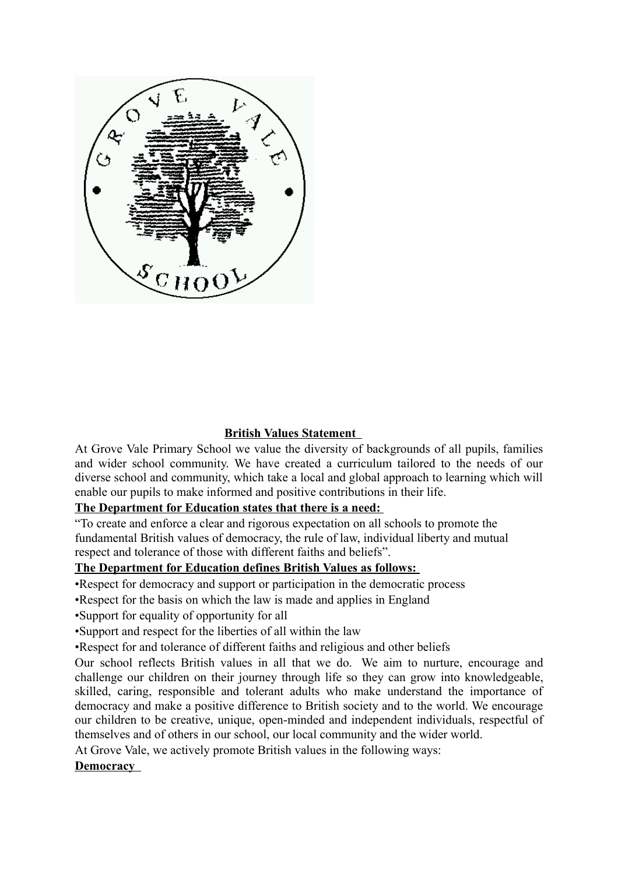

## **British Values Statement**

At Grove Vale Primary School we value the diversity of backgrounds of all pupils, families and wider school community. We have created a curriculum tailored to the needs of our diverse school and community, which take a local and global approach to learning which will enable our pupils to make informed and positive contributions in their life.

# **The Department for Education states that there is a need:**

"To create and enforce a clear and rigorous expectation on all schools to promote the fundamental British values of democracy, the rule of law, individual liberty and mutual respect and tolerance of those with different faiths and beliefs".

#### **The Department for Education defines British Values as follows:**

•Respect for democracy and support or participation in the democratic process

- •Respect for the basis on which the law is made and applies in England
- •Support for equality of opportunity for all
- •Support and respect for the liberties of all within the law

•Respect for and tolerance of different faiths and religious and other beliefs

Our school reflects British values in all that we do. We aim to nurture, encourage and challenge our children on their journey through life so they can grow into knowledgeable, skilled, caring, responsible and tolerant adults who make understand the importance of democracy and make a positive difference to British society and to the world. We encourage our children to be creative, unique, open-minded and independent individuals, respectful of themselves and of others in our school, our local community and the wider world.

At Grove Vale, we actively promote British values in the following ways:

 **Democracy**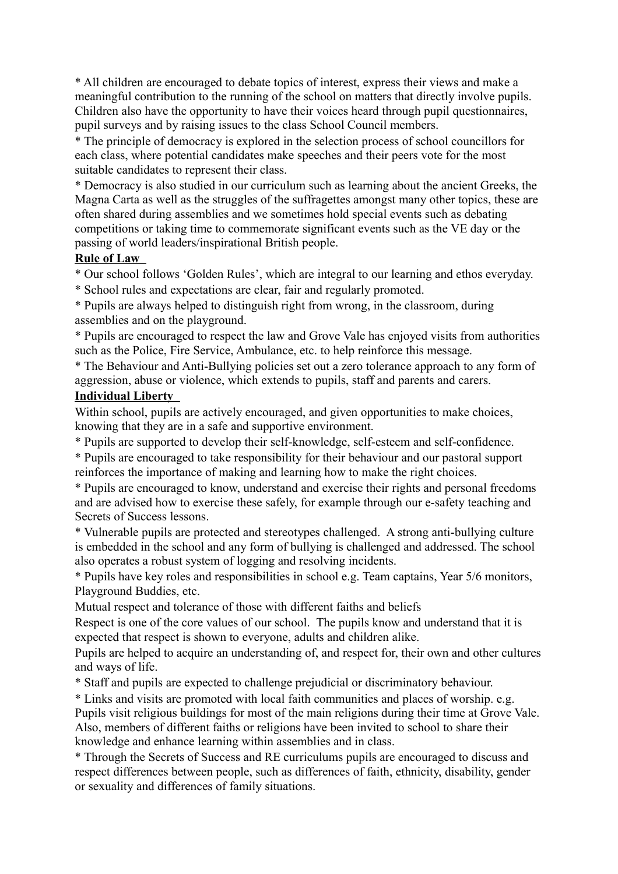\* All children are encouraged to debate topics of interest, express their views and make a meaningful contribution to the running of the school on matters that directly involve pupils. Children also have the opportunity to have their voices heard through pupil questionnaires, pupil surveys and by raising issues to the class School Council members.

\* The principle of democracy is explored in the selection process of school councillors for each class, where potential candidates make speeches and their peers vote for the most suitable candidates to represent their class.

\* Democracy is also studied in our curriculum such as learning about the ancient Greeks, the Magna Carta as well as the struggles of the suffragettes amongst many other topics, these are often shared during assemblies and we sometimes hold special events such as debating competitions or taking time to commemorate significant events such as the VE day or the passing of world leaders/inspirational British people.

# **Rule of Law**

- \* Our school follows 'Golden Rules', which are integral to our learning and ethos everyday.
- \* School rules and expectations are clear, fair and regularly promoted.

\* Pupils are always helped to distinguish right from wrong, in the classroom, during assemblies and on the playground.

\* Pupils are encouraged to respect the law and Grove Vale has enjoyed visits from authorities such as the Police, Fire Service, Ambulance, etc. to help reinforce this message.

\* The Behaviour and Anti-Bullying policies set out a zero tolerance approach to any form of aggression, abuse or violence, which extends to pupils, staff and parents and carers.

## **Individual Liberty**

Within school, pupils are actively encouraged, and given opportunities to make choices, knowing that they are in a safe and supportive environment.

\* Pupils are supported to develop their self-knowledge, self-esteem and self-confidence.

\* Pupils are encouraged to take responsibility for their behaviour and our pastoral support reinforces the importance of making and learning how to make the right choices.

\* Pupils are encouraged to know, understand and exercise their rights and personal freedoms and are advised how to exercise these safely, for example through our e-safety teaching and Secrets of Success lessons.

\* Vulnerable pupils are protected and stereotypes challenged. A strong anti-bullying culture is embedded in the school and any form of bullying is challenged and addressed. The school also operates a robust system of logging and resolving incidents.

\* Pupils have key roles and responsibilities in school e.g. Team captains, Year 5/6 monitors, Playground Buddies, etc.

Mutual respect and tolerance of those with different faiths and beliefs

Respect is one of the core values of our school. The pupils know and understand that it is expected that respect is shown to everyone, adults and children alike.

Pupils are helped to acquire an understanding of, and respect for, their own and other cultures and ways of life.

\* Staff and pupils are expected to challenge prejudicial or discriminatory behaviour.

\* Links and visits are promoted with local faith communities and places of worship. e.g. Pupils visit religious buildings for most of the main religions during their time at Grove Vale. Also, members of different faiths or religions have been invited to school to share their knowledge and enhance learning within assemblies and in class.

\* Through the Secrets of Success and RE curriculums pupils are encouraged to discuss and respect differences between people, such as differences of faith, ethnicity, disability, gender or sexuality and differences of family situations.